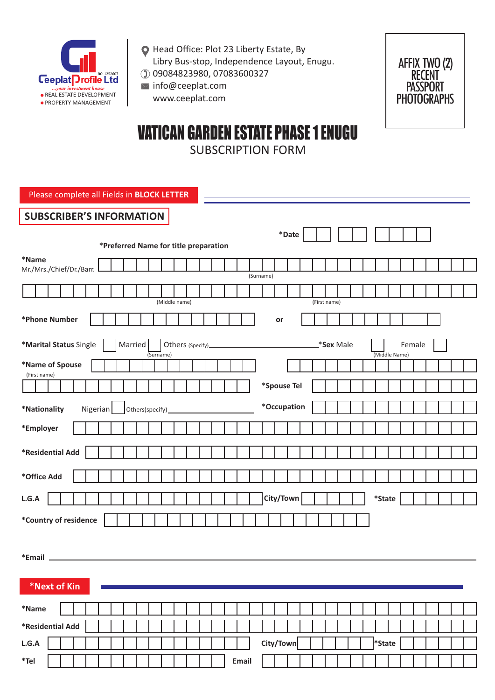

- Head Office: Plot 23 Liberty Estate, By Libry Bus-stop, Independence Layout, Enugu.
- 09084823980, 07083600327
- $\bowtie$  info@ceeplat.com www.ceeplat.com



# VATICAN GARDEN ESTATE PHASE 1 ENUGU SUBSCRIPTION FORM

Please complete all Fields in **BLOCK LETTER**

## **SUBSCRIBER'S INFORMATION**

| $\mathbf{*}$ Date                                                                            |
|----------------------------------------------------------------------------------------------|
| *Preferred Name for title preparation                                                        |
| *Name<br>Mr./Mrs./Chief/Dr./Barr.                                                            |
| (Surname)                                                                                    |
|                                                                                              |
| (Middle name)<br>(First name)                                                                |
| *Phone Number<br>or                                                                          |
| *Marital Status Single<br><b>Sex Male</b><br>Married<br>Female<br>(Middle Name)<br>(Surname) |
| *Name of Spouse                                                                              |
| (First name)                                                                                 |
| *Spouse Tel                                                                                  |
| *Occupation<br>Nigerian<br>*Nationality                                                      |
| *Employer                                                                                    |
|                                                                                              |
| *Residential Add                                                                             |
| *Office Add                                                                                  |
| City/Town<br>$\displaystyle{^\ast \mathsf{State}}$<br>L.G.A                                  |
| *Country of residence                                                                        |
|                                                                                              |
|                                                                                              |
|                                                                                              |
| *Next of Kin                                                                                 |
| $^{\ast}$ Name                                                                               |
| *Residential Add                                                                             |
| City/Town<br><sup>*</sup> State<br>$\mathsf{L.G.A}$                                          |
| $*$ Tel<br>Email                                                                             |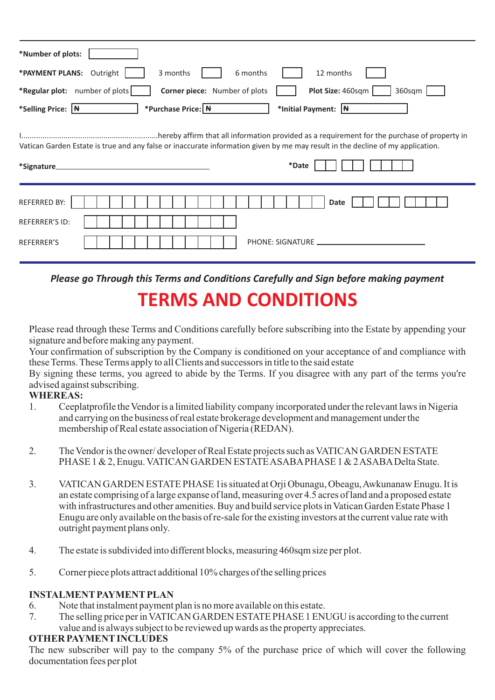| *Number of plots:                                                                                                                                      |
|--------------------------------------------------------------------------------------------------------------------------------------------------------|
| *PAYMENT PLANS: Outright<br>6 months<br>12 months<br>3 months                                                                                          |
| *Regular plot: number of plots<br>Plot Size: 460sqm<br>Corner piece: Number of plots<br>360sqm                                                         |
| *Selling Price: N<br>*Purchase Price: N<br>*Initial Payment: $ \mathbf{H} $                                                                            |
| Vatican Garden Estate is true and any false or inaccurate information given by me may result in the decline of my application.<br>*Date<br>*Signature_ |
| <b>REFERRED BY:</b><br><b>Date</b>                                                                                                                     |
| <b>REFERRER'S ID:</b>                                                                                                                                  |
| REFERRER'S                                                                                                                                             |

*Please go Through this Terms and Conditions Carefully and Sign before making payment*  **TERMS AND CONDITIONS**

Please read through these Terms and Conditions carefully before subscribing into the Estate by appending your signature and before making any payment.

Your confirmation of subscription by the Company is conditioned on your acceptance of and compliance with these Terms. These Terms apply to all Clients and successors in title to the said estate

By signing these terms, you agreed to abide by the Terms. If you disagree with any part of the terms you're advised against subscribing.

## **WHEREAS:**

- 1. Ceeplatprofile the Vendor is a limited liability company incorporated under the relevant laws in Nigeria and carrying on the business of real estate brokerage development and management under the membership of Real estate association of Nigeria (REDAN).
- 2. The Vendor is the owner/ developer of Real Estate projects such as VATICAN GARDEN ESTATE PHASE 1 & 2, Enugu. VATICAN GARDEN ESTATE ASABAPHASE 1 & 2 ASABADelta State.
- 3. VATICAN GARDEN ESTATE PHASE 1is situated at Orji Obunagu, Obeagu, Awkunanaw Enugu. It is an estate comprising of a large expanse of land, measuring over 4.5 acres of land and a proposed estate with infrastructures and other amenities. Buy and build service plots in Vatican Garden Estate Phase 1 Enugu are only available on the basis of re-sale for the existing investors at the current value rate with outright payment plans only.
- 4. The estate is subdivided into different blocks, measuring 460sqm size per plot.
- 5. Corner piece plots attract additional 10% charges of the selling prices

## **INSTALMENT PAYMENT PLAN**

- 6. Note that instalment payment plan is no more available on this estate.
- 7. The selling price per in VATICAN GARDEN ESTATE PHASE 1 ENUGU is according to the current value and is always subject to be reviewed up wards as the property appreciates.

#### **OTHER PAYMENTINCLUDES**

The new subscriber will pay to the company 5% of the purchase price of which will cover the following documentation fees per plot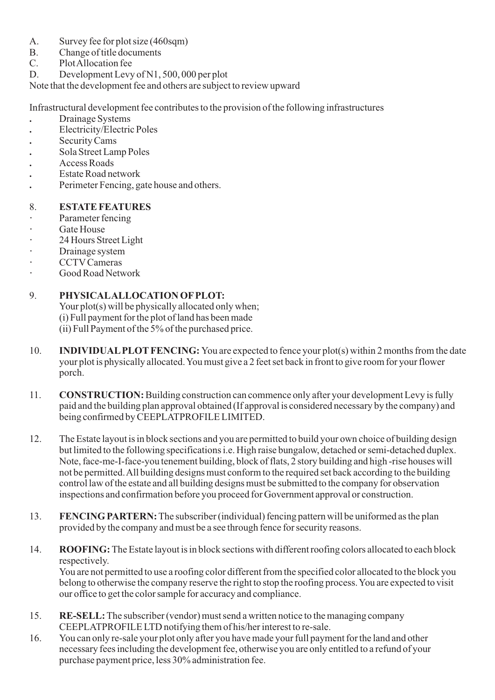- A. Survey fee for plot size (460sqm)
- B. Change of title documents
- C. Plot Allocation fee
- D. Development Levy of N1, 500, 000 per plot

Note that the development fee and others are subject to review upward

Infrastructural development fee contributes to the provision of the following infrastructures

- **.** Drainage Systems
- **.** Electricity/Electric Poles
- **.** Security Cams
- **.** Sola Street Lamp Poles
- **.** Access Roads
- **.** Estate Road network
- **.** Perimeter Fencing, gate house and others.

#### 8. **ESTATE FEATURES**

- **·** Parameter fencing
- **·** Gate House
- **·** 24 Hours Street Light
- **·** Drainage system
- **·** CCTVCameras
- **·** Good Road Network

#### 9. **PHYSICALALLOCATION OFPLOT:**

Your plot(s) will be physically allocated only when; (i) Full payment for the plot of land has been made (ii) Full Payment of the 5% of the purchased price.

- 10. **INDIVIDUALPLOTFENCING:** You are expected to fence your plot(s) within 2 months from the date your plot is physically allocated. You must give a 2 feet set back in front to give room for your flower porch.
- 11. **CONSTRUCTION:**Building construction can commence only after your development Levy is fully paid and the building plan approval obtained (If approval is considered necessary by the company) and being confirmed by CEEPLATPROFILE LIMITED.
- 12. The Estate layout is in block sections and you are permitted to build your own choice of building design but limited to the following specifications i.e. High raise bungalow, detached or semi-detached duplex. Note, face-me-I-face-you tenement building, block of flats, 2 story building and high -rise houses will not be permitted. All building designs must conform to the required set back according to the building control law of the estate and all building designs must be submitted to the company for observation inspections and confirmation before you proceed for Government approval or construction.
- 13. **FENCING PARTERN:**The subscriber (individual) fencing pattern will be uniformed as the plan provided by the company and must be a see through fence for security reasons.
- 14. **ROOFING:** The Estate layout is in block sections with different roofing colors allocated to each block respectively. You are not permitted to use a roofing color different from the specified color allocated to the block you belong to otherwise the company reserve the right to stop the roofing process. You are expected to visit our office to get the color sample for accuracy and compliance.
- 15. **RE-SELL:**The subscriber (vendor) must send a written notice to the managing company CEEPLATPROFILE LTD notifying them of his/her interest to re-sale.
- 16. You can only re-sale your plot only after you have made your full payment for the land and other necessary fees including the development fee, otherwise you are only entitled to a refund of your purchase payment price, less 30% administration fee.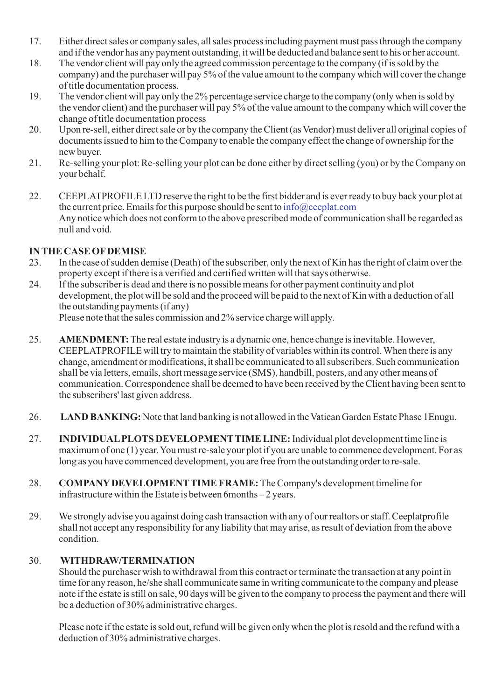- 17. Either direct sales or company sales, all sales process including payment must pass through the company and if the vendor has any payment outstanding, it will be deducted and balance sent to his or her account.
- 18. The vendor client will pay only the agreed commission percentage to the company (if is sold by the company) and the purchaser will pay 5% of the value amount to the company which will cover the change of title documentation process.
- 19. The vendor client will pay only the 2% percentage service charge to the company (only when is sold by the vendor client) and the purchaser will pay 5% of the value amount to the company which will cover the change of title documentation process
- 20. Upon re-sell, either direct sale or by the company the Client (as Vendor) must deliver all original copies of documents issued to him to the Company to enable the company effect the change of ownership for the new buyer.
- 21. Re-selling your plot: Re-selling your plot can be done either by direct selling (you) or by the Company on your behalf.
- 22. CEEPLATPROFILE LTD reserve the right to be the first bidder and is ever ready to buy back your plot at the current price. Emails for this purpose should be sent to info@ceeplat.com Any notice which does not conform to the above prescribed mode of communication shall be regarded as null and void.

### **IN THE CASE OFDEMISE**

- 23. In the case of sudden demise (Death) of the subscriber, only the next of Kin has the right of claim over the property except if there is a verified and certified written will that says otherwise.
- 24. If the subscriber is dead and there is no possible means for other payment continuity and plot development, the plot will be sold and the proceed will be paid to the next of Kin with a deduction of all the outstanding payments (if any) Please note that the sales commission and 2% service charge will apply.
- 25. **AMENDMENT:**The real estate industry is a dynamic one, hence change is inevitable. However, CEEPLATPROFILE will try to maintain the stability of variables within its control. When there is any change, amendment or modifications, it shall be communicated to all subscribers. Such communication shall be via letters, emails, short message service (SMS), handbill, posters, and any other means of communication. Correspondence shall be deemed to have been received by the Client having been sent to the subscribers' last given address.
- 26. **LAND BANKING:** Note that land banking is not allowed in the Vatican Garden Estate Phase 1Enugu.
- 27. **INDIVIDUALPLOTS DEVELOPMENTTIME LINE:**Individual plot development time line is maximum of one (1) year. You must re-sale your plot if you are unable to commence development. For as long as you have commenced development, you are free from the outstanding order to re-sale.
- 28. **COMPANYDEVELOPMENTTIME FRAME:** The Company's development timeline for infrastructure within the Estate is between 6months – 2 years.
- 29. We strongly advise you against doing cash transaction with any of our realtors or staff. Ceeplatprofile shall not accept any responsibility for any liability that may arise, as result of deviation from the above condition.

#### 30. **WITHDRAW/TERMINATION**

Should the purchaser wish to withdrawal from this contract or terminate the transaction at any point in time for any reason, he/she shall communicate same in writing communicate to the company and please note if the estate is still on sale, 90 days will be given to the company to process the payment and there will be a deduction of 30% administrative charges.

Please note if the estate is sold out, refund will be given only when the plot is resold and the refund with a deduction of 30% administrative charges.